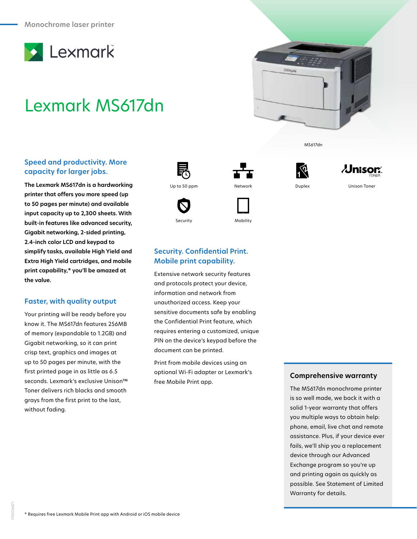

# Lexmark MS617dn

### **Speed and productivity. More capacity for larger jobs.**

**The Lexmark MS617dn is a hardworking printer that offers you more speed (up to 50 pages per minute) and available input capacity up to 2,300 sheets. With built-in features like advanced security, Gigabit networking, 2-sided printing, 2.4-inch color LCD and keypad to simplify tasks, available High Yield and Extra High Yield cartridges, and mobile print capability,\* you'll be amazed at the value.**

### **Faster, with quality output**

Your printing will be ready before you know it. The MS617dn features 256MB of memory (expandable to 1.2GB) and Gigabit networking, so it can print crisp text, graphics and images at up to 50 pages per minute, with the first printed page in as little as 6.5 seconds. Lexmark's exclusive Unison™ Toner delivers rich blacks and smooth grays from the first print to the last, without fading.





Security Mobility





MS617dn



## **Security. Confidential Print. Mobile print capability.**

Extensive network security features and protocols protect your device, information and network from unauthorized access. Keep your sensitive documents safe by enabling the Confidential Print feature, which requires entering a customized, unique PIN on the device's keypad before the document can be printed.

Print from mobile devices using an optional Wi-Fi adapter or Lexmark's free Mobile Print app.

#### **Comprehensive warranty**

The MS617dn monochrome printer is so well made, we back it with a solid 1-year warranty that offers you multiple ways to obtain help: phone, email, live chat and remote assistance. Plus, if your device ever fails, we'll ship you a replacement device through our Advanced Exchange program so you're up and printing again as quickly as possible. See Statement of Limited Warranty for details.

17KDO6671

"KDO667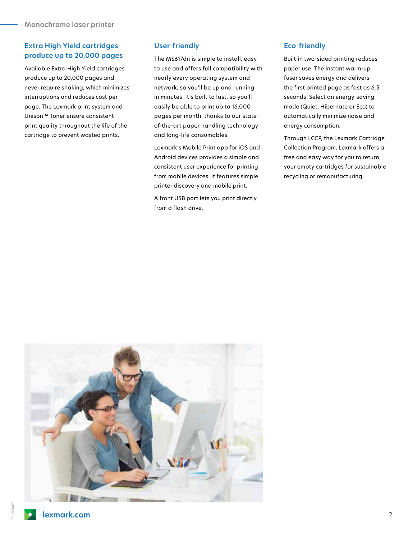# **Extra High Yield cartridges produce up to 20,000 pages**

Available Extra High Yield cartridges produce up to 20,000 pages and never require shaking, which minimizes interruptions and reduces cost per page. The Lexmark print system and Unison™ Toner ensure consistent print quality throughout the life of the cartridge to prevent wasted prints.

#### **User-friendly**

The MS617dn is simple to install, easy to use and offers full compatibility with nearly every operating system and network, so you'll be up and running in minutes. It's built to last, so you'll easily be able to print up to 16,000 pages per month, thanks to our stateof-the-art paper handling technology and long-life consumables.

Lexmark's Mobile Print app for iOS and Android devices provides a simple and consistent user experience for printing from mobile devices. It features simple printer discovery and mobile print.

A front USB port lets you print directly from a flash drive.

### **Eco-friendly**

Built-in two-sided printing reduces paper use. The instant warm-up fuser saves energy and delivers the first printed page as fast as 6.5 seconds. Select an energy-saving mode (Quiet, Hibernate or Eco) to automatically minimize noise and energy consumption.

Through LCCP, the Lexmark Cartridge Collection Program, Lexmark offers a free and easy way for you to return your empty cartridges for sustainable recycling or remanufacturing.

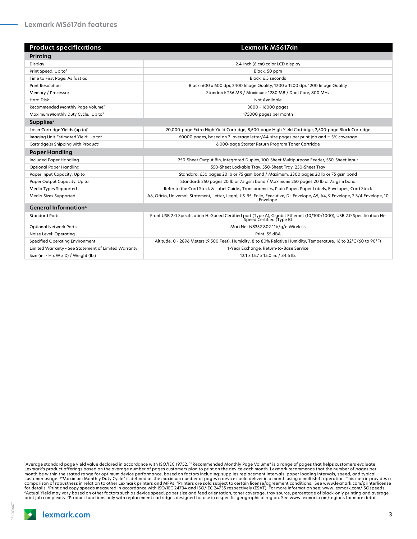| <b>Product specifications</b>                        | Lexmark MS617dn                                                                                                                                     |
|------------------------------------------------------|-----------------------------------------------------------------------------------------------------------------------------------------------------|
| Printing                                             |                                                                                                                                                     |
| Display                                              | 2.4-inch (6 cm) color LCD display                                                                                                                   |
| Print Speed: Up to <sup>5</sup>                      | Black: 50 ppm                                                                                                                                       |
| Time to First Page: As fast as                       | Black: 6.5 seconds                                                                                                                                  |
| <b>Print Resolution</b>                              | Black: 600 x 600 dpi, 2400 Image Quality, 1200 x 1200 dpi, 1200 Image Quality                                                                       |
| Memory / Processor                                   | Standard: 256 MB / Maximum: 1280 MB / Dual Core, 800 MHz                                                                                            |
| <b>Hard Disk</b>                                     | Not Available                                                                                                                                       |
| Recommended Monthly Page Volume <sup>2</sup>         | 3000 - 16000 pages                                                                                                                                  |
| Maximum Monthly Duty Cycle: Up to3                   | 175000 pages per month                                                                                                                              |
| Supplies <sup>7</sup>                                |                                                                                                                                                     |
| Laser Cartridge Yields (up to) <sup>1</sup>          | 20,000-page Extra High Yield Cartridge, 8,500-page High Yield Cartridge, 2,500-page Black Cartridge                                                 |
| Imaging Unit Estimated Yield: Up to <sup>6</sup>     | 60000 pages, based on 3 average letter/A4-size pages per print job and $\sim$ 5% coverage                                                           |
| Cartridge(s) Shipping with Product <sup>1</sup>      | 6,000-page Starter Return Program Toner Cartridge                                                                                                   |
| <b>Paper Handling</b>                                |                                                                                                                                                     |
| Included Paper Handling                              | 250-Sheet Output Bin, Integrated Duplex, 100-Sheet Multipurpose Feeder, 550-Sheet Input                                                             |
| <b>Optional Paper Handling</b>                       | 550-Sheet Lockable Tray, 550-Sheet Tray, 250-Sheet Tray                                                                                             |
| Paper Input Capacity: Up to                          | Standard: 650 pages 20 lb or 75 gsm bond / Maximum: 2300 pages 20 lb or 75 gsm bond                                                                 |
| Paper Output Capacity: Up to                         | Standard: 250 pages 20 lb or 75 gsm bond / Maximum: 250 pages 20 lb or 75 gsm bond                                                                  |
| Media Types Supported                                | Refer to the Card Stock & Label Guide., Transparencies, Plain Paper, Paper Labels, Envelopes, Card Stock                                            |
| Media Sizes Supported                                | A6, Oficio, Universal, Statement, Letter, Legal, JIS-B5, Folio, Executive, DL Envelope, A5, A4, 9 Envelope, 7 3/4 Envelope, 10<br>Envelope          |
| <b>General Information4</b>                          |                                                                                                                                                     |
| <b>Standard Ports</b>                                | Front USB 2.0 Specification Hi-Speed Certified port (Type A), Gigabit Ethernet (10/100/1000), USB 2.0 Specification Hi-<br>Speed Certified (Type B) |
| <b>Optional Network Ports</b>                        | MarkNet N8352 802.11b/g/n Wireless                                                                                                                  |
| Noise Level: Operating                               | Print: 55 dBA                                                                                                                                       |
| <b>Specified Operating Environment</b>               | Altitude: 0 - 2896 Meters (9,500 Feet), Humidity: 8 to 80% Relative Humidity, Temperature: 16 to 32°C (60 to 90°F)                                  |
| Limited Warranty - See Statement of Limited Warranty | 1-Year Exchange, Return-to-Base Service                                                                                                             |
| Size (in. $- H \times W \times D$ ) / Weight (lb.)   | 12.1 x 15.7 x 15.0 in. / 34.6 lb.                                                                                                                   |

"Average standard page yield value declared in accordance with ISO/IEC 19752. ""Recommended Monthly Page Volume" is a range of pages that helps customers evaluate<br>Lexmark's product offerings based on the average number of